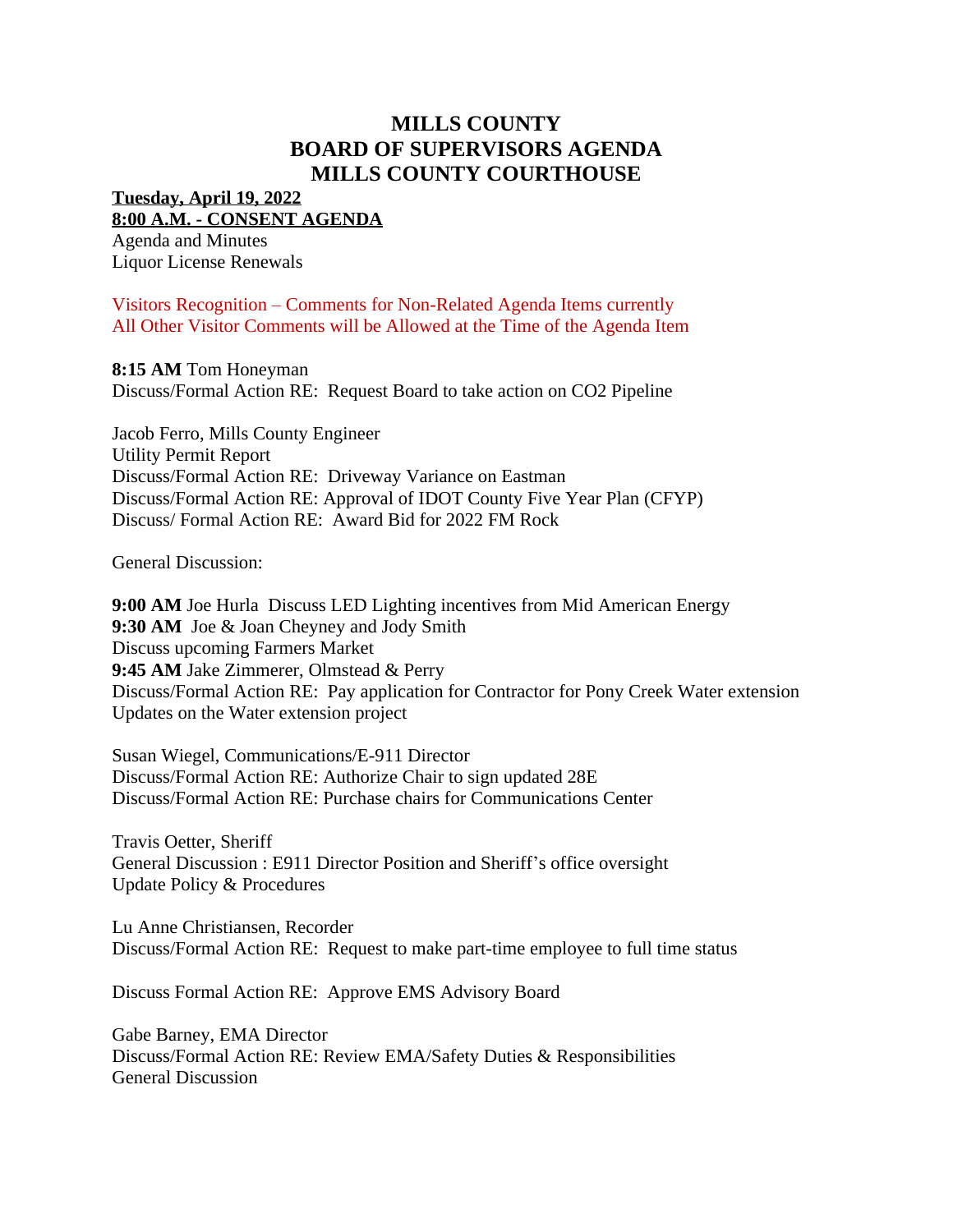## **MILLS COUNTY BOARD OF SUPERVISORS AGENDA MILLS COUNTY COURTHOUSE**

**Tuesday, April 19, 2022 8:00 A.M. - CONSENT AGENDA**

Agenda and Minutes Liquor License Renewals

Visitors Recognition – Comments for Non-Related Agenda Items currently All Other Visitor Comments will be Allowed at the Time of the Agenda Item

**8:15 AM** Tom Honeyman

Discuss/Formal Action RE: Request Board to take action on CO2 Pipeline

Jacob Ferro, Mills County Engineer Utility Permit Report Discuss/Formal Action RE: Driveway Variance on Eastman Discuss/Formal Action RE: Approval of IDOT County Five Year Plan (CFYP) Discuss/ Formal Action RE: Award Bid for 2022 FM Rock

General Discussion:

**9:00 AM** Joe Hurla Discuss LED Lighting incentives from Mid American Energy **9:30 AM** Joe & Joan Cheyney and Jody Smith Discuss upcoming Farmers Market **9:45 AM** Jake Zimmerer, Olmstead & Perry Discuss/Formal Action RE: Pay application for Contractor for Pony Creek Water extension Updates on the Water extension project

Susan Wiegel, Communications/E-911 Director Discuss/Formal Action RE: Authorize Chair to sign updated 28E Discuss/Formal Action RE: Purchase chairs for Communications Center

Travis Oetter, Sheriff General Discussion : E911 Director Position and Sheriff's office oversight Update Policy & Procedures

Lu Anne Christiansen, Recorder Discuss/Formal Action RE: Request to make part-time employee to full time status

Discuss Formal Action RE: Approve EMS Advisory Board

Gabe Barney, EMA Director Discuss/Formal Action RE: Review EMA/Safety Duties & Responsibilities General Discussion